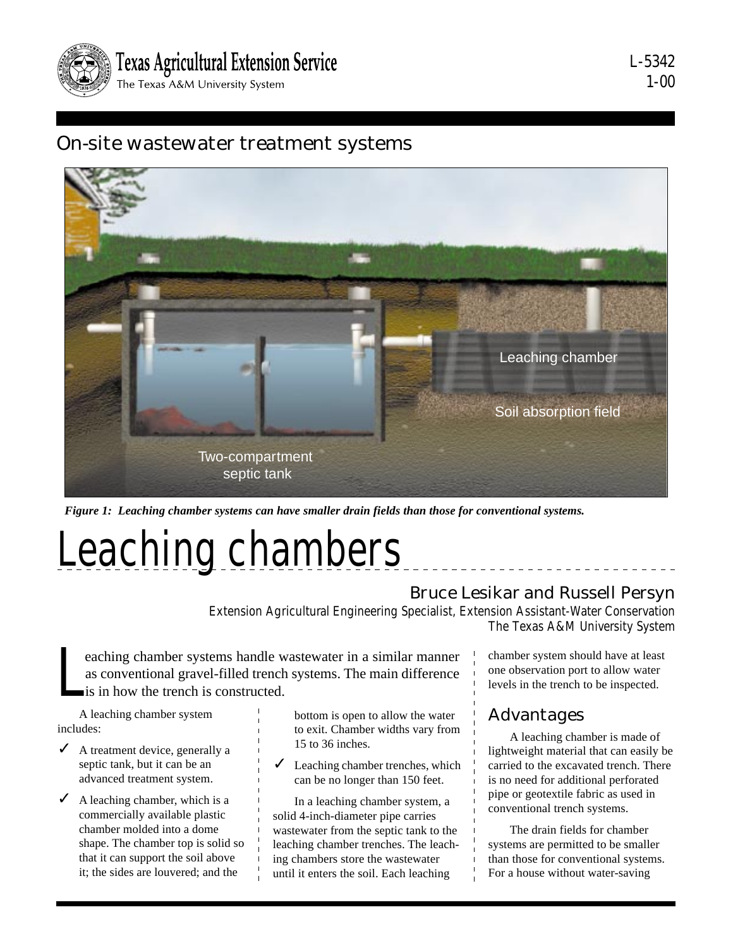

## On-site wastewater treatment systems



*Figure 1: Leaching chamber systems can have smaller drain fields than those for conventional systems.*

# Leaching chambers

#### Bruce Lesikar and Russell Persyn

Extension Agricultural Engineering Specialist, Extension Assistant-Water Conservation The Texas A&M University System

L eaching chamber systems handle wastewater in a similar manner as conventional gravel-filled trench systems. The main difference is in how the trench is constructed.

A leaching chamber system includes:

- $\angle$  A treatment device, generally a septic tank, but it can be an advanced treatment system.
- A leaching chamber, which is a commercially available plastic chamber molded into a dome shape. The chamber top is solid so that it can support the soil above it; the sides are louvered; and the

bottom is open to allow the water to exit. Chamber widths vary from 15 to 36 inches.

 $\angle$  Leaching chamber trenches, which can be no longer than 150 feet.

In a leaching chamber system, a solid 4-inch-diameter pipe carries wastewater from the septic tank to the leaching chamber trenches. The leaching chambers store the wastewater until it enters the soil. Each leaching

chamber system should have at least one observation port to allow water levels in the trench to be inspected.

#### Advantages

A leaching chamber is made of lightweight material that can easily be carried to the excavated trench. There is no need for additional perforated pipe or geotextile fabric as used in conventional trench systems.

The drain fields for chamber systems are permitted to be smaller than those for conventional systems. For a house without water-saving